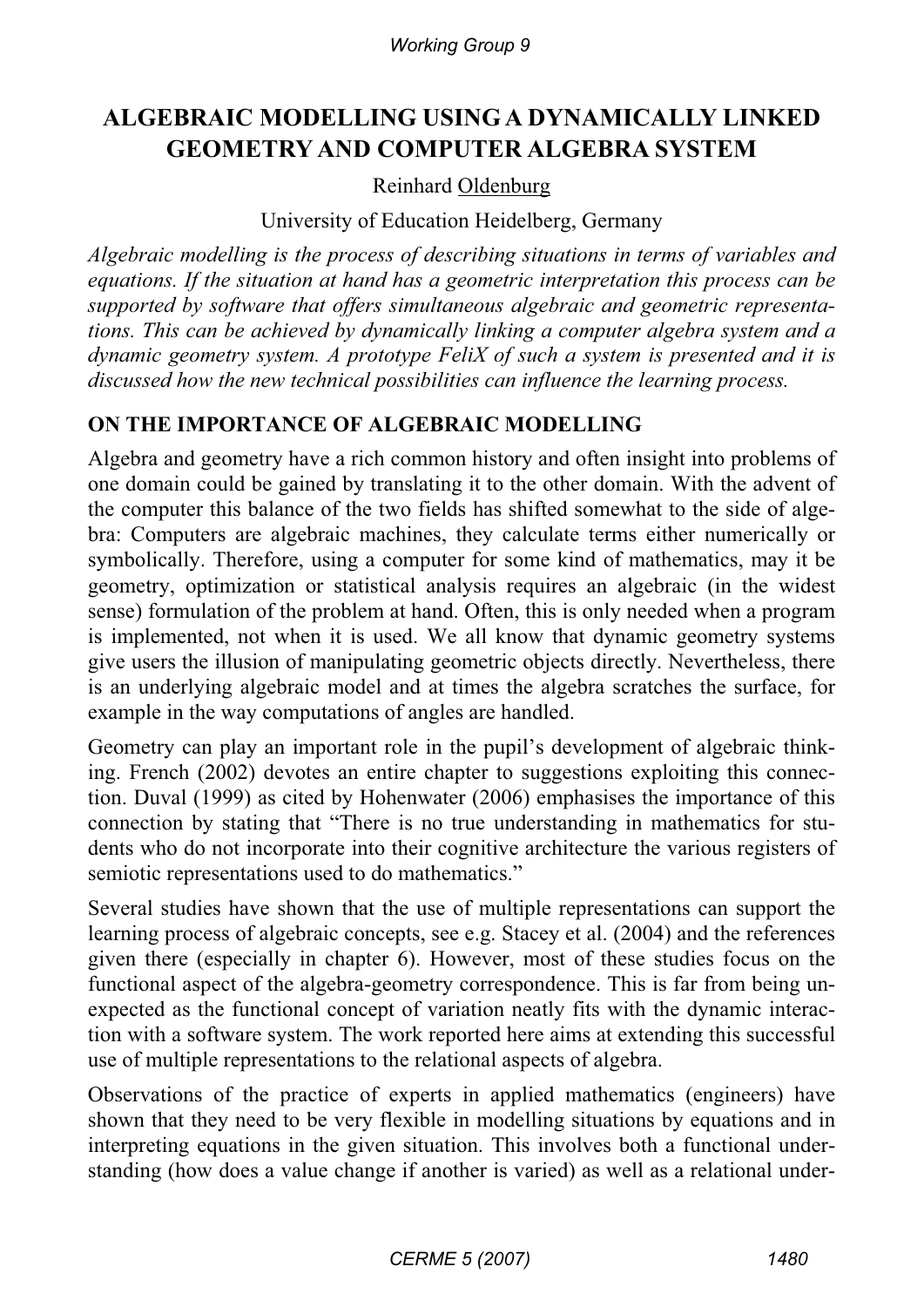*Working Group 9*

# **ALGEBRAIC MODELLING USING A DYNAMICALLY LINKED GEOMETRY AND COMPUTER ALGEBRA SYSTEM**

#### Reinhard Oldenburg

University of Education Heidelberg, Germany

*Algebraic modelling is the process of describing situations in terms of variables and equations. If the situation at hand has a geometric interpretation this process can be supported by software that offers simultaneous algebraic and geometric representations. This can be achieved by dynamically linking a computer algebra system and a dynamic geometry system. A prototype FeliX of such a system is presented and it is discussed how the new technical possibilities can influence the learning process.* 

## **ON THE IMPORTANCE OF ALGEBRAIC MODELLING**

Algebra and geometry have a rich common history and often insight into problems of one domain could be gained by translating it to the other domain. With the advent of the computer this balance of the two fields has shifted somewhat to the side of algebra: Computers are algebraic machines, they calculate terms either numerically or symbolically. Therefore, using a computer for some kind of mathematics, may it be geometry, optimization or statistical analysis requires an algebraic (in the widest sense) formulation of the problem at hand. Often, this is only needed when a program is implemented, not when it is used. We all know that dynamic geometry systems give users the illusion of manipulating geometric objects directly. Nevertheless, there is an underlying algebraic model and at times the algebra scratches the surface, for example in the way computations of angles are handled.

Geometry can play an important role in the pupil's development of algebraic thinking. French (2002) devotes an entire chapter to suggestions exploiting this connection. Duval (1999) as cited by Hohenwater (2006) emphasises the importance of this connection by stating that "There is no true understanding in mathematics for students who do not incorporate into their cognitive architecture the various registers of semiotic representations used to do mathematics."

Several studies have shown that the use of multiple representations can support the learning process of algebraic concepts, see e.g. Stacey et al. (2004) and the references given there (especially in chapter 6). However, most of these studies focus on the functional aspect of the algebra-geometry correspondence. This is far from being unexpected as the functional concept of variation neatly fits with the dynamic interaction with a software system. The work reported here aims at extending this successful use of multiple representations to the relational aspects of algebra.

Observations of the practice of experts in applied mathematics (engineers) have shown that they need to be very flexible in modelling situations by equations and in interpreting equations in the given situation. This involves both a functional understanding (how does a value change if another is varied) as well as a relational under-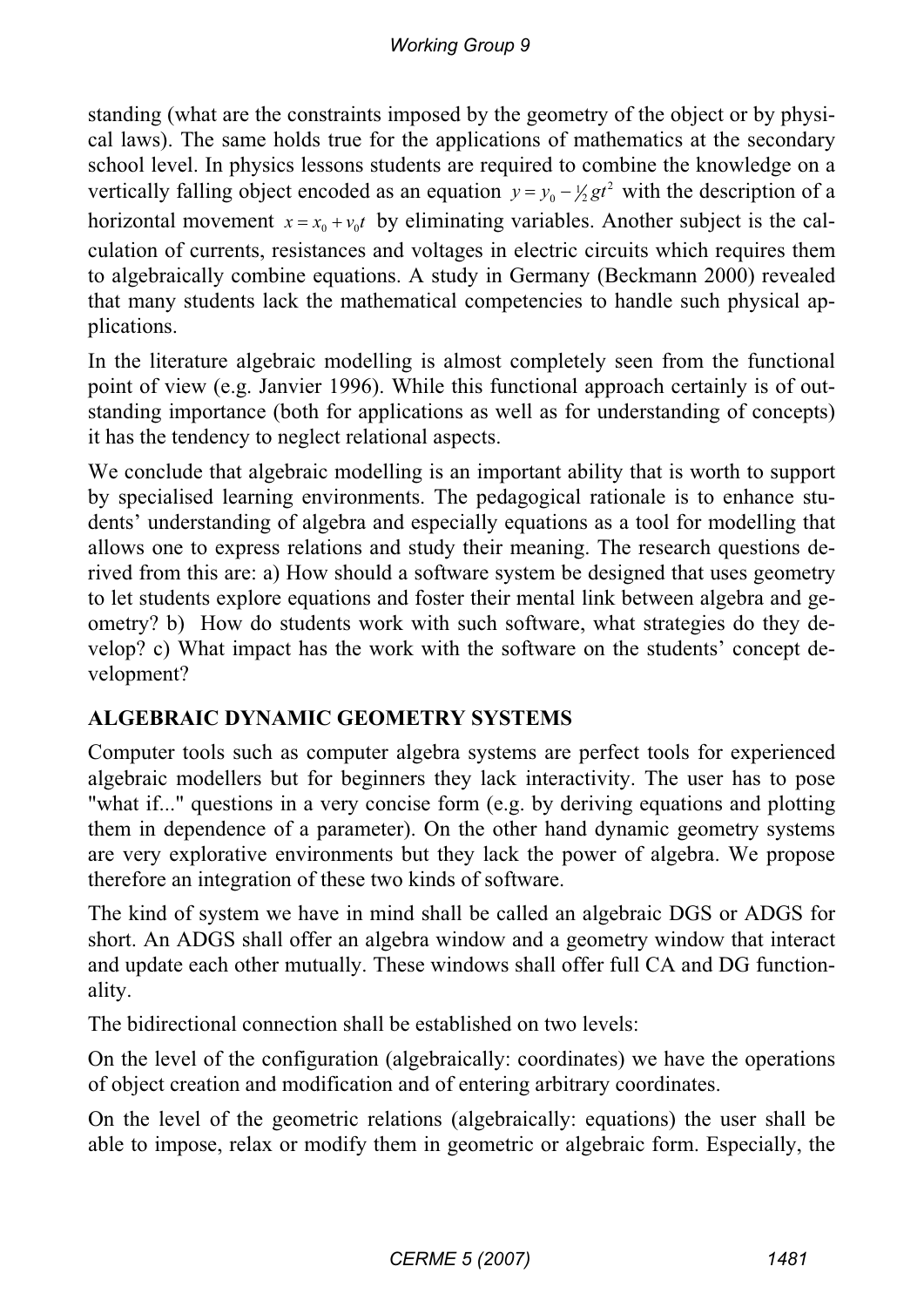standing (what are the constraints imposed by the geometry of the object or by physical laws). The same holds true for the applications of mathematics at the secondary school level. In physics lessons students are required to combine the knowledge on a vertically falling object encoded as an equation  $y = y_0 - \frac{1}{2}gt^2$  with the description of a horizontal movement  $x = x_0 + v_0 t$  by eliminating variables. Another subject is the calculation of currents, resistances and voltages in electric circuits which requires them to algebraically combine equations. A study in Germany (Beckmann 2000) revealed that many students lack the mathematical competencies to handle such physical applications.

In the literature algebraic modelling is almost completely seen from the functional point of view (e.g. Janvier 1996). While this functional approach certainly is of outstanding importance (both for applications as well as for understanding of concepts) it has the tendency to neglect relational aspects.

We conclude that algebraic modelling is an important ability that is worth to support by specialised learning environments. The pedagogical rationale is to enhance students' understanding of algebra and especially equations as a tool for modelling that allows one to express relations and study their meaning. The research questions derived from this are: a) How should a software system be designed that uses geometry to let students explore equations and foster their mental link between algebra and geometry? b) How do students work with such software, what strategies do they develop? c) What impact has the work with the software on the students' concept development?

# **ALGEBRAIC DYNAMIC GEOMETRY SYSTEMS**

Computer tools such as computer algebra systems are perfect tools for experienced algebraic modellers but for beginners they lack interactivity. The user has to pose "what if..." questions in a very concise form (e.g. by deriving equations and plotting them in dependence of a parameter). On the other hand dynamic geometry systems are very explorative environments but they lack the power of algebra. We propose therefore an integration of these two kinds of software.

The kind of system we have in mind shall be called an algebraic DGS or ADGS for short. An ADGS shall offer an algebra window and a geometry window that interact and update each other mutually. These windows shall offer full CA and DG functionality.

The bidirectional connection shall be established on two levels:

On the level of the configuration (algebraically: coordinates) we have the operations of object creation and modification and of entering arbitrary coordinates.

On the level of the geometric relations (algebraically: equations) the user shall be able to impose, relax or modify them in geometric or algebraic form. Especially, the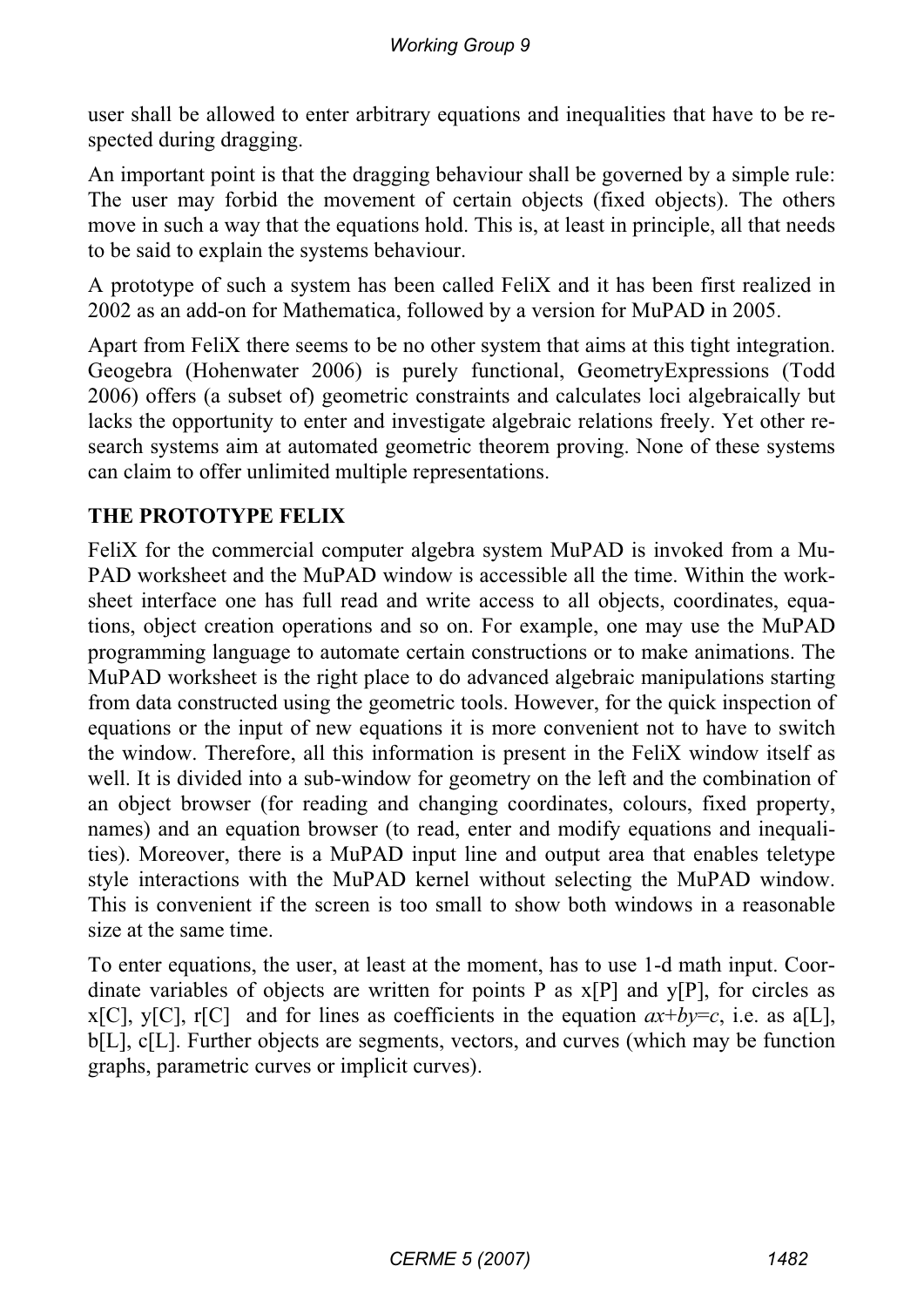user shall be allowed to enter arbitrary equations and inequalities that have to be respected during dragging.

An important point is that the dragging behaviour shall be governed by a simple rule: The user may forbid the movement of certain objects (fixed objects). The others move in such a way that the equations hold. This is, at least in principle, all that needs to be said to explain the systems behaviour.

A prototype of such a system has been called FeliX and it has been first realized in 2002 as an add-on for Mathematica, followed by a version for MuPAD in 2005.

Apart from FeliX there seems to be no other system that aims at this tight integration. Geogebra (Hohenwater 2006) is purely functional, GeometryExpressions (Todd 2006) offers (a subset of) geometric constraints and calculates loci algebraically but lacks the opportunity to enter and investigate algebraic relations freely. Yet other research systems aim at automated geometric theorem proving. None of these systems can claim to offer unlimited multiple representations.

## **THE PROTOTYPE FELIX**

FeliX for the commercial computer algebra system MuPAD is invoked from a Mu-PAD worksheet and the MuPAD window is accessible all the time. Within the worksheet interface one has full read and write access to all objects, coordinates, equations, object creation operations and so on. For example, one may use the MuPAD programming language to automate certain constructions or to make animations. The MuPAD worksheet is the right place to do advanced algebraic manipulations starting from data constructed using the geometric tools. However, for the quick inspection of equations or the input of new equations it is more convenient not to have to switch the window. Therefore, all this information is present in the FeliX window itself as well. It is divided into a sub-window for geometry on the left and the combination of an object browser (for reading and changing coordinates, colours, fixed property, names) and an equation browser (to read, enter and modify equations and inequalities). Moreover, there is a MuPAD input line and output area that enables teletype style interactions with the MuPAD kernel without selecting the MuPAD window. This is convenient if the screen is too small to show both windows in a reasonable size at the same time.

To enter equations, the user, at least at the moment, has to use 1-d math input. Coordinate variables of objects are written for points P as  $x[P]$  and  $y[P]$ , for circles as x[C], y[C], r[C] and for lines as coefficients in the equation  $ax+by=c$ , i.e. as a[L], b[L], c[L]. Further objects are segments, vectors, and curves (which may be function graphs, parametric curves or implicit curves).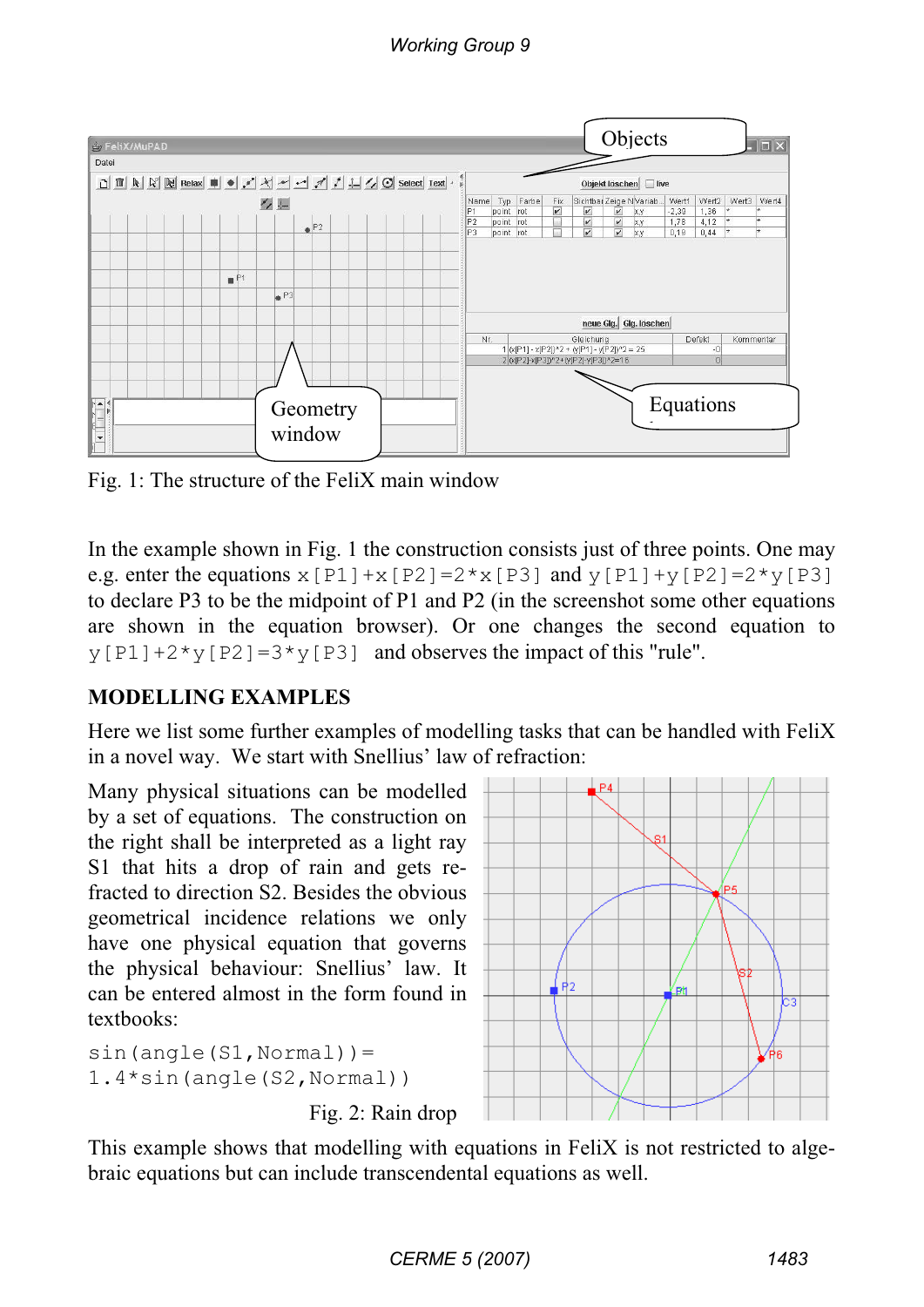

Fig. 1: The structure of the FeliX main window

In the example shown in Fig. 1 the construction consists just of three points. One may e.g. enter the equations  $x[PI]+x[P2]=2*x[P3]$  and  $y[PI]+y[P2]=2*y[P3]$ to declare P3 to be the midpoint of P1 and P2 (in the screenshot some other equations are shown in the equation browser). Or one changes the second equation to  $y[P1]+2*y[P2]=3*y[P3]$  and observes the impact of this "rule".

# **MODELLING EXAMPLES**

Here we list some further examples of modelling tasks that can be handled with FeliX in a novel way. We start with Snellius' law of refraction:

Many physical situations can be modelled by a set of equations. The construction on the right shall be interpreted as a light ray S1 that hits a drop of rain and gets refracted to direction S2. Besides the obvious geometrical incidence relations we only have one physical equation that governs the physical behaviour: Snellius' law. It can be entered almost in the form found in textbooks:

```
sin(anqle(S1,Normal))=1.4*sin(angle(S2,Normal))
        Fig. 2: Rain drop
```


This example shows that modelling with equations in FeliX is not restricted to algebraic equations but can include transcendental equations as well.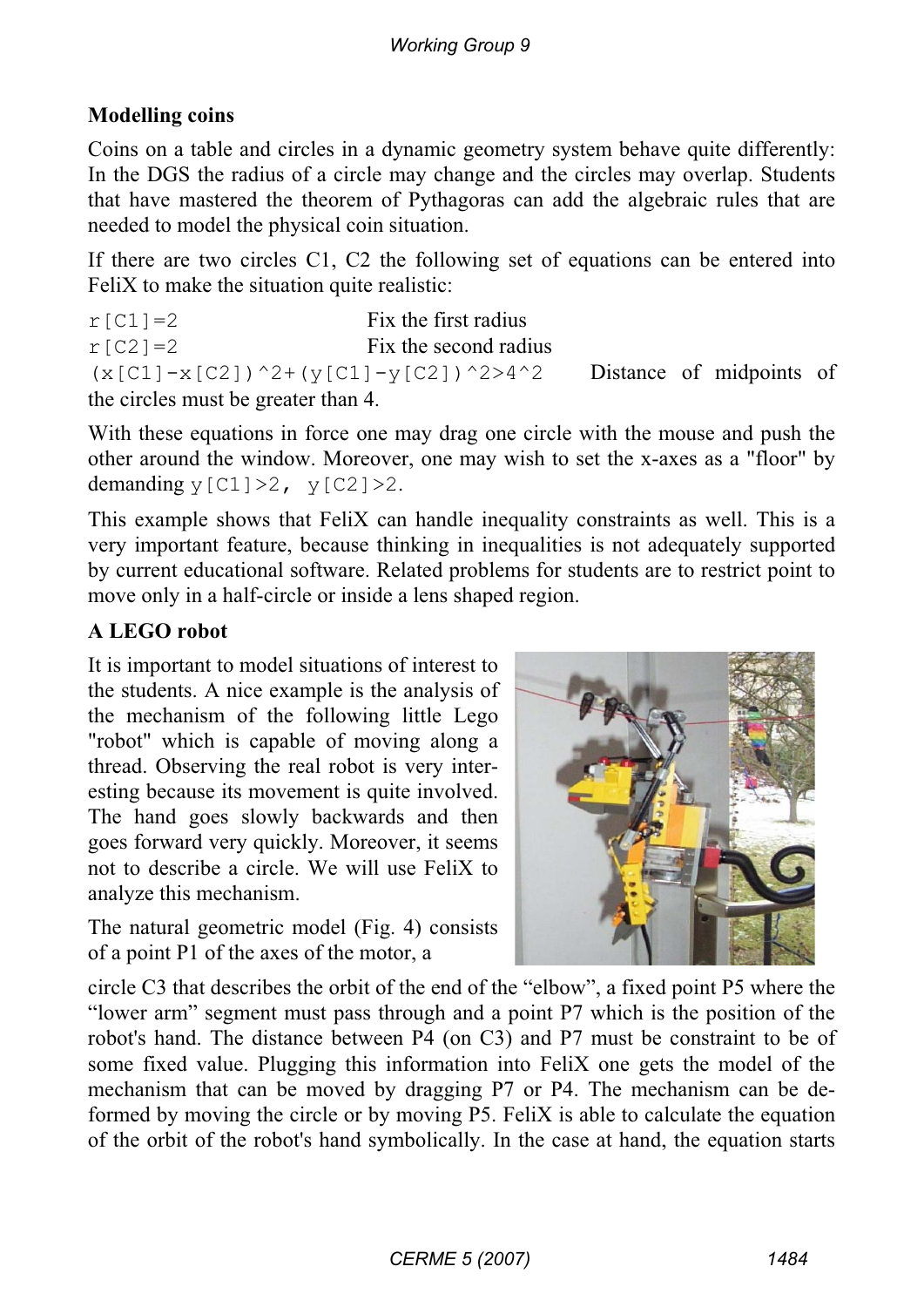# **Modelling coins**

Coins on a table and circles in a dynamic geometry system behave quite differently: In the DGS the radius of a circle may change and the circles may overlap. Students that have mastered the theorem of Pythagoras can add the algebraic rules that are needed to model the physical coin situation.

If there are two circles C1, C2 the following set of equations can be entered into FeliX to make the situation quite realistic:

 $r$ [C1]=2 Fix the first radius  $r[C2] = 2$  Fix the second radius  $(x[C1]-x[C2])^2+(y[C1]-y[C2])^2>4^2$  Distance of midpoints of the circles must be greater than 4.

With these equations in force one may drag one circle with the mouse and push the other around the window. Moreover, one may wish to set the x-axes as a "floor" by demanding  $y[C1]>2$ ,  $y[C2]>2$ .

This example shows that FeliX can handle inequality constraints as well. This is a very important feature, because thinking in inequalities is not adequately supported by current educational software. Related problems for students are to restrict point to move only in a half-circle or inside a lens shaped region.

# **A LEGO robot**

It is important to model situations of interest to the students. A nice example is the analysis of the mechanism of the following little Lego "robot" which is capable of moving along a thread. Observing the real robot is very interesting because its movement is quite involved. The hand goes slowly backwards and then goes forward very quickly. Moreover, it seems not to describe a circle. We will use FeliX to analyze this mechanism.

The natural geometric model (Fig. 4) consists of a point P1 of the axes of the motor, a



circle C3 that describes the orbit of the end of the "elbow", a fixed point P5 where the "lower arm" segment must pass through and a point P7 which is the position of the robot's hand. The distance between P4 (on C3) and P7 must be constraint to be of some fixed value. Plugging this information into FeliX one gets the model of the mechanism that can be moved by dragging P7 or P4. The mechanism can be deformed by moving the circle or by moving P5. FeliX is able to calculate the equation of the orbit of the robot's hand symbolically. In the case at hand, the equation starts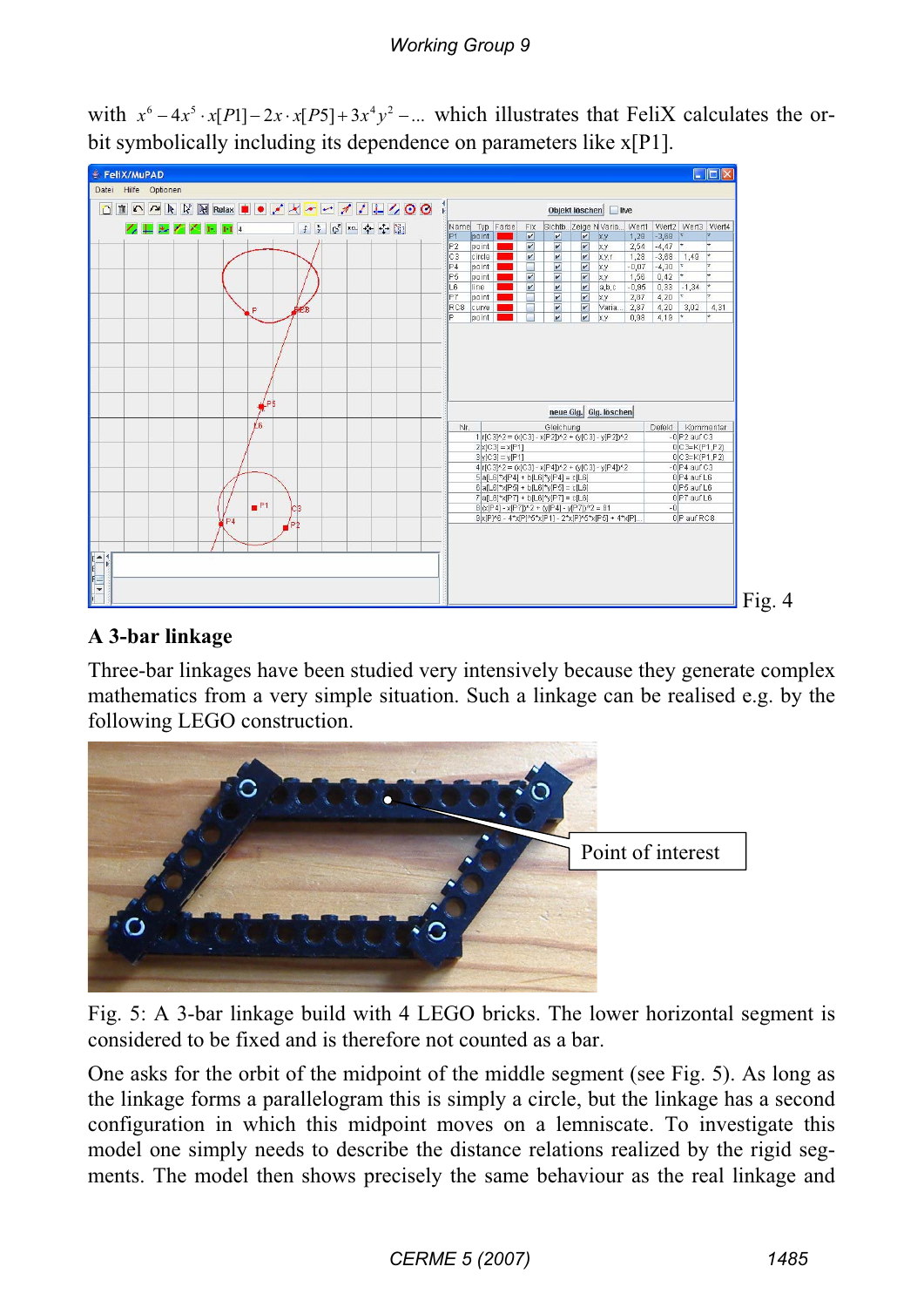# *Working Group 9*

with  $x^6 - 4x^5 \cdot x[P1] - 2x \cdot x[P5] + 3x^4y^2 - ...$  which illustrates that FeliX calculates the orbit symbolically including its dependence on parameters like x[P1].



#### **A 3-bar linkage**

Three-bar linkages have been studied very intensively because they generate complex mathematics from a very simple situation. Such a linkage can be realised e.g. by the following LEGO construction.



Fig. 5: A 3-bar linkage build with 4 LEGO bricks. The lower horizontal segment is considered to be fixed and is therefore not counted as a bar.

One asks for the orbit of the midpoint of the middle segment (see Fig. 5). As long as the linkage forms a parallelogram this is simply a circle, but the linkage has a second configuration in which this midpoint moves on a lemniscate. To investigate this model one simply needs to describe the distance relations realized by the rigid segments. The model then shows precisely the same behaviour as the real linkage and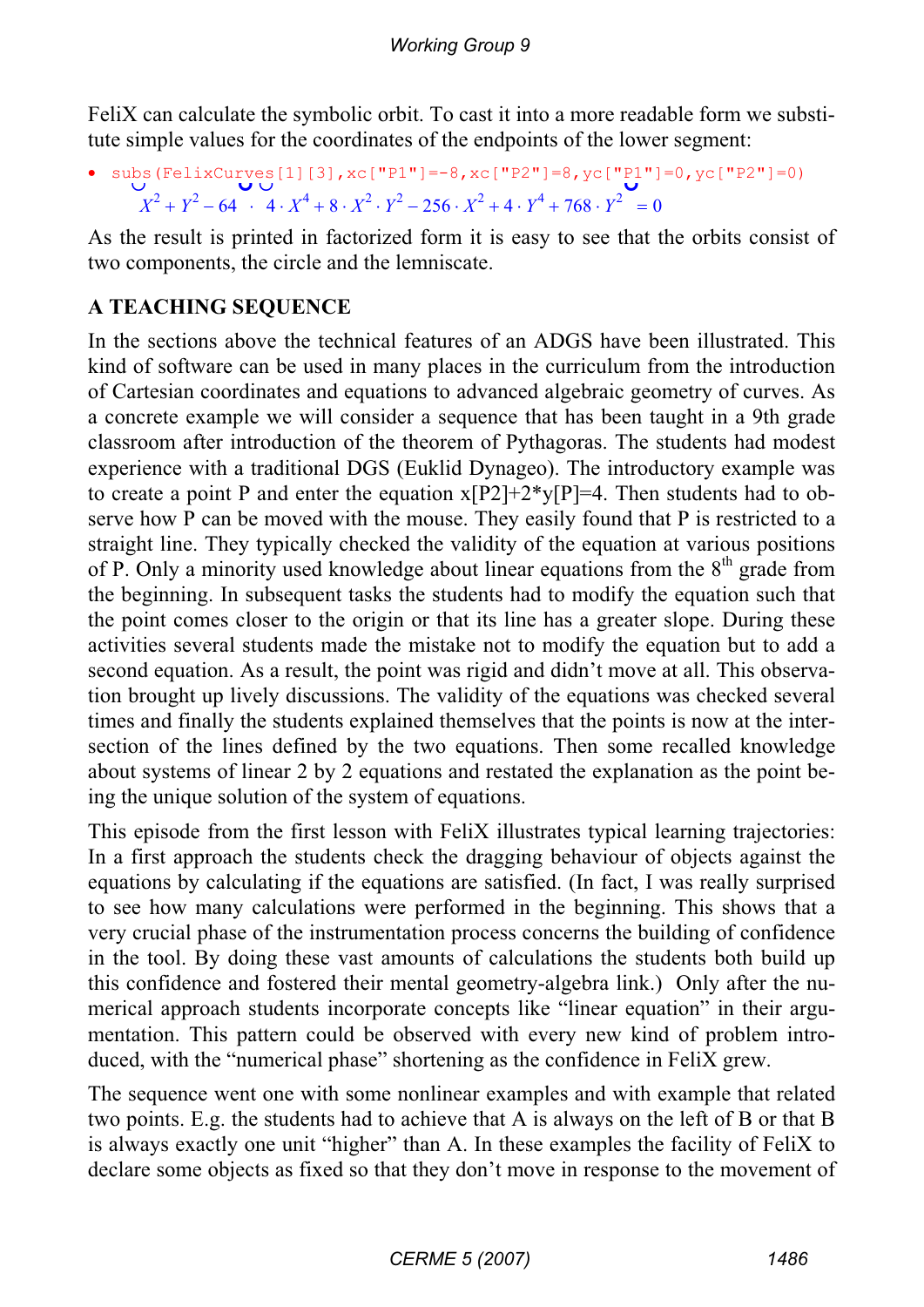FeliX can calculate the symbolic orbit. To cast it into a more readable form we substitute simple values for the coordinates of the endpoints of the lower segment:

• subs(FelixCurves[1][3], xc["P1"]=-8, xc["P2"]=8, yc["P1"]=0, yc["P2"]=0)  $X^2 + Y^2 - 64$   $4 \cdot X^4 + 8 \cdot X^2 \cdot Y^2 - 256 \cdot X^2 + 4 \cdot Y^4 + 768 \cdot Y^2 = 0$ 

As the result is printed in factorized form it is easy to see that the orbits consist of two components, the circle and the lemniscate.

# **A TEACHING SEQUENCE**

In the sections above the technical features of an ADGS have been illustrated. This kind of software can be used in many places in the curriculum from the introduction of Cartesian coordinates and equations to advanced algebraic geometry of curves. As a concrete example we will consider a sequence that has been taught in a 9th grade classroom after introduction of the theorem of Pythagoras. The students had modest experience with a traditional DGS (Euklid Dynageo). The introductory example was to create a point P and enter the equation  $x[P2]+2*y[P]=4$ . Then students had to observe how P can be moved with the mouse. They easily found that P is restricted to a straight line. They typically checked the validity of the equation at various positions of P. Only a minority used knowledge about linear equations from the  $8<sup>th</sup>$  grade from the beginning. In subsequent tasks the students had to modify the equation such that the point comes closer to the origin or that its line has a greater slope. During these activities several students made the mistake not to modify the equation but to add a second equation. As a result, the point was rigid and didn't move at all. This observation brought up lively discussions. The validity of the equations was checked several times and finally the students explained themselves that the points is now at the intersection of the lines defined by the two equations. Then some recalled knowledge about systems of linear 2 by 2 equations and restated the explanation as the point being the unique solution of the system of equations.

This episode from the first lesson with FeliX illustrates typical learning trajectories: In a first approach the students check the dragging behaviour of objects against the equations by calculating if the equations are satisfied. (In fact, I was really surprised to see how many calculations were performed in the beginning. This shows that a very crucial phase of the instrumentation process concerns the building of confidence in the tool. By doing these vast amounts of calculations the students both build up this confidence and fostered their mental geometry-algebra link.) Only after the numerical approach students incorporate concepts like "linear equation" in their argumentation. This pattern could be observed with every new kind of problem introduced, with the "numerical phase" shortening as the confidence in FeliX grew.

The sequence went one with some nonlinear examples and with example that related two points. E.g. the students had to achieve that A is always on the left of B or that B is always exactly one unit "higher" than A. In these examples the facility of FeliX to declare some objects as fixed so that they don't move in response to the movement of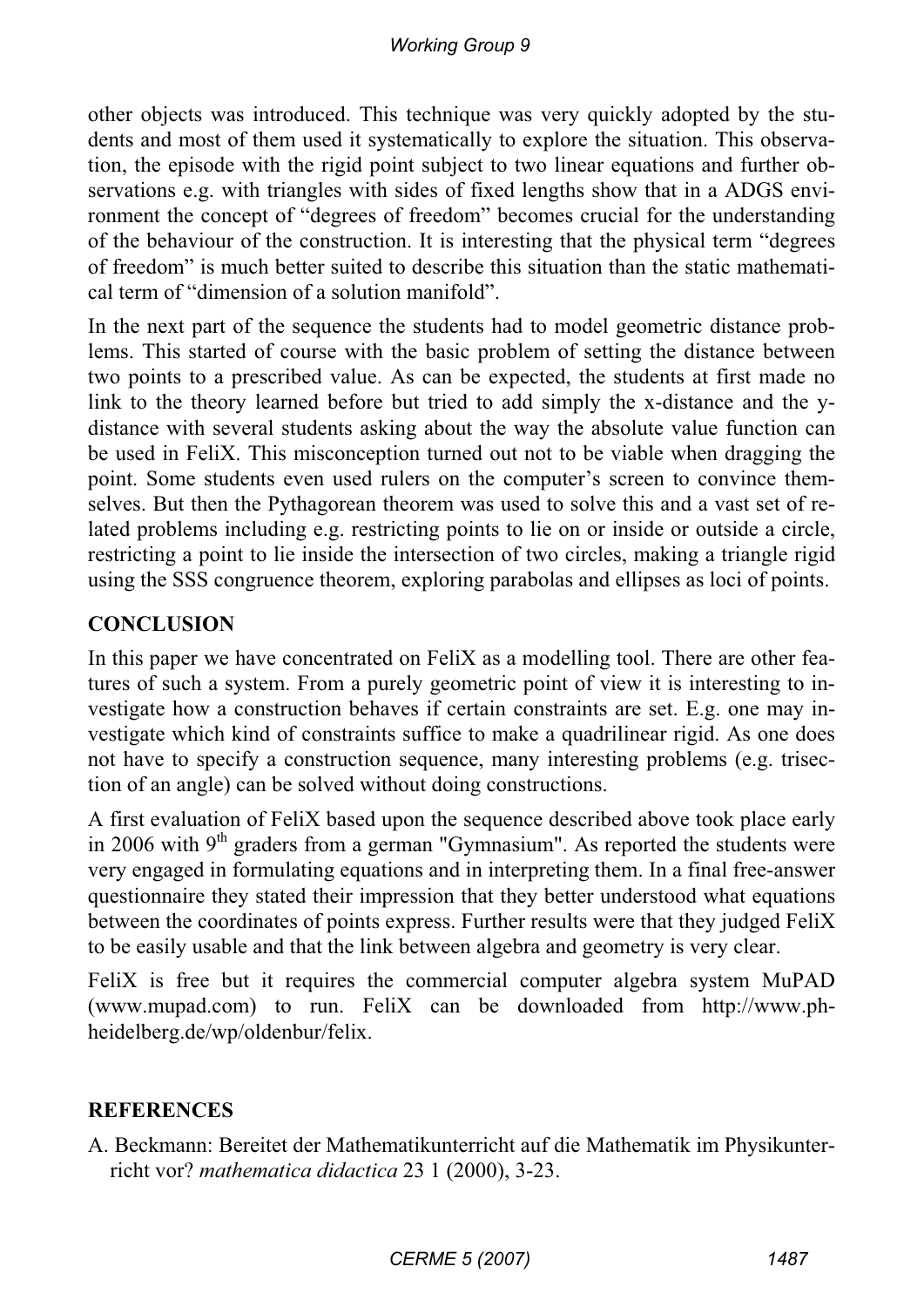other objects was introduced. This technique was very quickly adopted by the students and most of them used it systematically to explore the situation. This observation, the episode with the rigid point subject to two linear equations and further observations e.g. with triangles with sides of fixed lengths show that in a ADGS environment the concept of "degrees of freedom" becomes crucial for the understanding of the behaviour of the construction. It is interesting that the physical term "degrees of freedom" is much better suited to describe this situation than the static mathematical term of "dimension of a solution manifold".

In the next part of the sequence the students had to model geometric distance problems. This started of course with the basic problem of setting the distance between two points to a prescribed value. As can be expected, the students at first made no link to the theory learned before but tried to add simply the x-distance and the ydistance with several students asking about the way the absolute value function can be used in FeliX. This misconception turned out not to be viable when dragging the point. Some students even used rulers on the computer's screen to convince themselves. But then the Pythagorean theorem was used to solve this and a vast set of related problems including e.g. restricting points to lie on or inside or outside a circle, restricting a point to lie inside the intersection of two circles, making a triangle rigid using the SSS congruence theorem, exploring parabolas and ellipses as loci of points.

## **CONCLUSION**

In this paper we have concentrated on FeliX as a modelling tool. There are other features of such a system. From a purely geometric point of view it is interesting to investigate how a construction behaves if certain constraints are set. E.g. one may investigate which kind of constraints suffice to make a quadrilinear rigid. As one does not have to specify a construction sequence, many interesting problems (e.g. trisection of an angle) can be solved without doing constructions.

A first evaluation of FeliX based upon the sequence described above took place early in 2006 with  $9<sup>th</sup>$  graders from a german "Gymnasium". As reported the students were very engaged in formulating equations and in interpreting them. In a final free-answer questionnaire they stated their impression that they better understood what equations between the coordinates of points express. Further results were that they judged FeliX to be easily usable and that the link between algebra and geometry is very clear.

FeliX is free but it requires the commercial computer algebra system MuPAD (www.mupad.com) to run. FeliX can be downloaded from http://www.phheidelberg.de/wp/oldenbur/felix.

#### **REFERENCES**

A. Beckmann: Bereitet der Mathematikunterricht auf die Mathematik im Physikunterricht vor? *mathematica didactica* 23 1 (2000), 3-23.